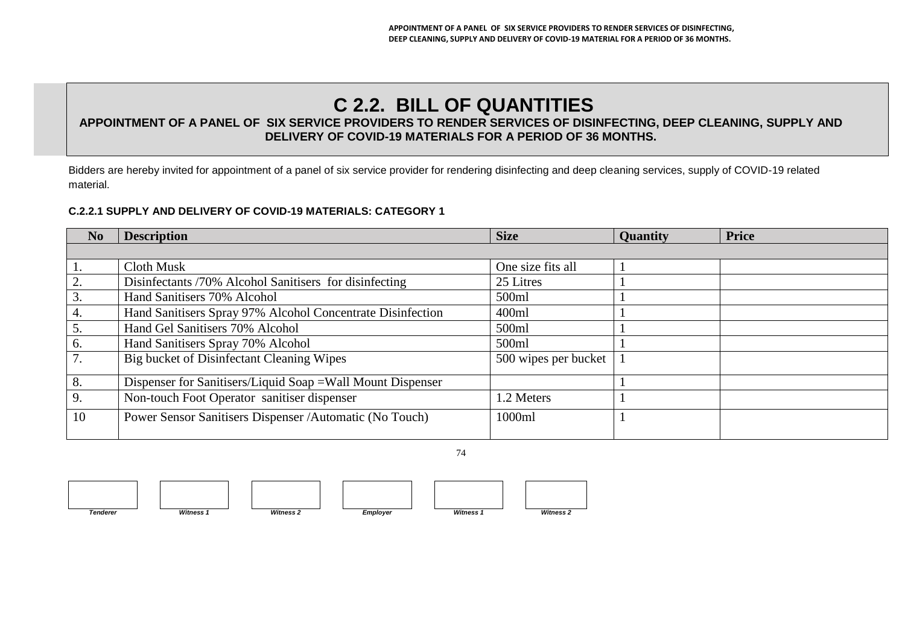# **C 2.2. BILL OF QUANTITIES**

## **APPOINTMENT OF A PANEL OF SIX SERVICE PROVIDERS TO RENDER SERVICES OF DISINFECTING, DEEP CLEANING, SUPPLY AND DELIVERY OF COVID-19 MATERIALS FOR A PERIOD OF 36 MONTHS.**

Bidders are hereby invited for appointment of a panel of six service provider for rendering disinfecting and deep cleaning services, supply of COVID-19 related material.

#### **C.2.2.1 SUPPLY AND DELIVERY OF COVID-19 MATERIALS: CATEGORY 1**

| N <sub>0</sub>   | <b>Description</b>                                          | <b>Size</b>          | <b>Quantity</b> | <b>Price</b> |
|------------------|-------------------------------------------------------------|----------------------|-----------------|--------------|
|                  |                                                             |                      |                 |              |
| 1.               | Cloth Musk                                                  | One size fits all    |                 |              |
| 2.               | Disinfectants /70% Alcohol Sanitisers for disinfecting      | 25 Litres            |                 |              |
| $\overline{3}$ . | Hand Sanitisers 70% Alcohol                                 | 500ml                |                 |              |
| 4.               | Hand Sanitisers Spray 97% Alcohol Concentrate Disinfection  | 400ml                |                 |              |
| 5.               | Hand Gel Sanitisers 70% Alcohol                             | 500ml                |                 |              |
| 6.               | Hand Sanitisers Spray 70% Alcohol                           | 500ml                |                 |              |
| 7.               | Big bucket of Disinfectant Cleaning Wipes                   | 500 wipes per bucket |                 |              |
| 8.               | Dispenser for Sanitisers/Liquid Soap = Wall Mount Dispenser |                      |                 |              |
| $\overline{9}$ . | Non-touch Foot Operator sanitiser dispenser                 | 1.2 Meters           |                 |              |
| $\vert$ 10       | Power Sensor Sanitisers Dispenser / Automatic (No Touch)    | 1000ml               |                 |              |







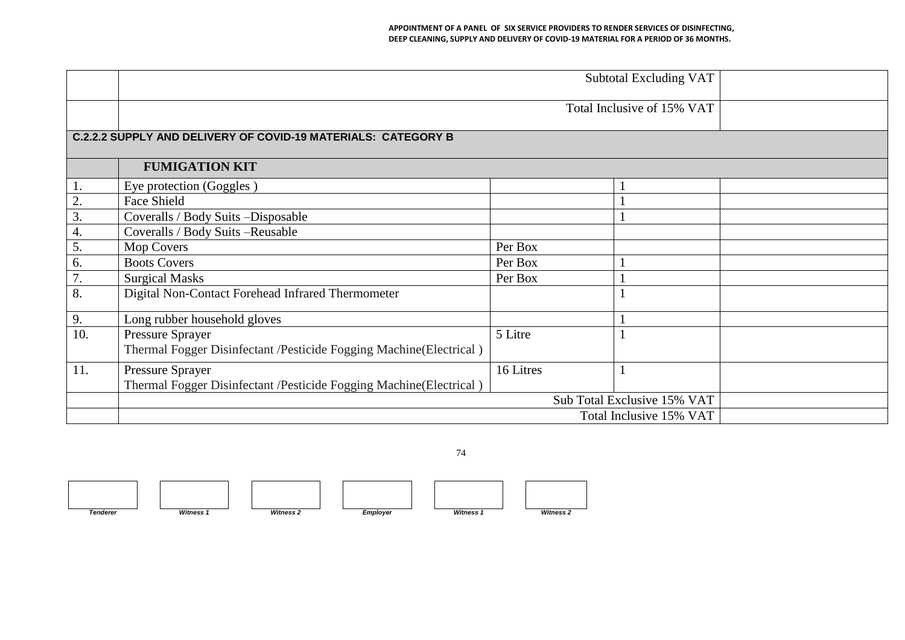#### **APPOINTMENT OF A PANEL OF SIX SERVICE PROVIDERS TO RENDER SERVICES OF DISINFECTING, DEEP CLEANING, SUPPLY AND DELIVERY OF COVID-19 MATERIAL FOR A PERIOD OF 36 MONTHS.**

|                  |                                                                    |                             | Total Inclusive of 15% VAT |  |  |  |  |  |
|------------------|--------------------------------------------------------------------|-----------------------------|----------------------------|--|--|--|--|--|
|                  | C.2.2.2 SUPPLY AND DELIVERY OF COVID-19 MATERIALS: CATEGORY B      |                             |                            |  |  |  |  |  |
|                  | <b>FUMIGATION KIT</b>                                              |                             |                            |  |  |  |  |  |
| 1.               | Eye protection (Goggles)                                           |                             |                            |  |  |  |  |  |
| $\frac{2}{3}$    | Face Shield                                                        |                             |                            |  |  |  |  |  |
|                  | Coveralls / Body Suits-Disposable                                  |                             |                            |  |  |  |  |  |
| 4.               | Coveralls / Body Suits - Reusable                                  |                             |                            |  |  |  |  |  |
| $\overline{5}$ . | Mop Covers                                                         | Per Box                     |                            |  |  |  |  |  |
| 6.               | <b>Boots Covers</b>                                                | Per Box                     |                            |  |  |  |  |  |
| $\overline{7}$ . | <b>Surgical Masks</b>                                              | Per Box                     |                            |  |  |  |  |  |
| 8.               | Digital Non-Contact Forehead Infrared Thermometer                  |                             |                            |  |  |  |  |  |
| 9.               | Long rubber household gloves                                       |                             |                            |  |  |  |  |  |
| 10.              | Pressure Sprayer                                                   | 5 Litre                     |                            |  |  |  |  |  |
|                  | Thermal Fogger Disinfectant /Pesticide Fogging Machine(Electrical) |                             |                            |  |  |  |  |  |
| 11.              | Pressure Sprayer                                                   | 16 Litres                   |                            |  |  |  |  |  |
|                  | Thermal Fogger Disinfectant /Pesticide Fogging Machine(Electrical) |                             |                            |  |  |  |  |  |
|                  |                                                                    | Sub Total Exclusive 15% VAT |                            |  |  |  |  |  |
|                  |                                                                    |                             |                            |  |  |  |  |  |

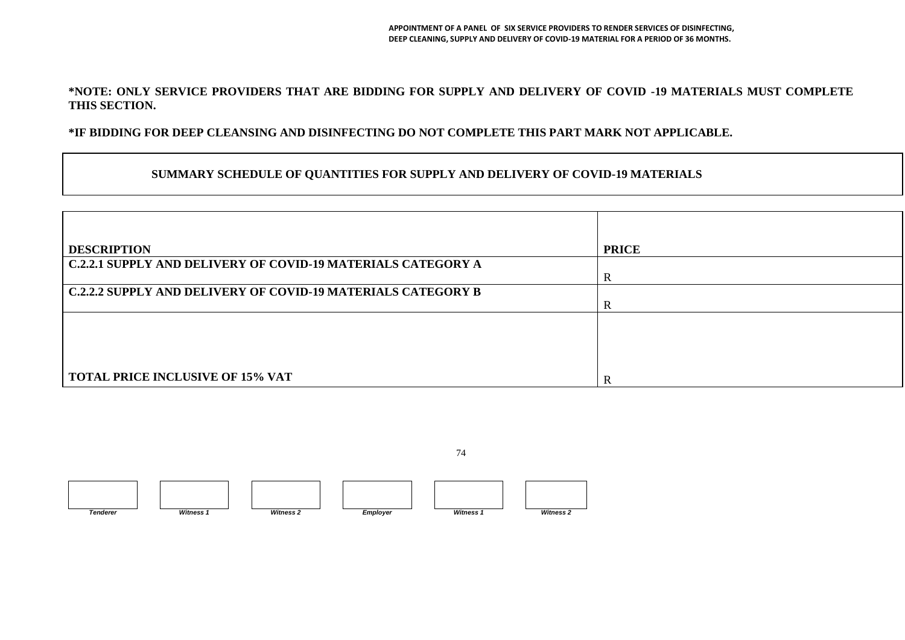#### **\*NOTE: ONLY SERVICE PROVIDERS THAT ARE BIDDING FOR SUPPLY AND DELIVERY OF COVID -19 MATERIALS MUST COMPLETE THIS SECTION.**

### **\*IF BIDDING FOR DEEP CLEANSING AND DISINFECTING DO NOT COMPLETE THIS PART MARK NOT APPLICABLE.**

#### **SUMMARY SCHEDULE OF QUANTITIES FOR SUPPLY AND DELIVERY OF COVID-19 MATERIALS**

| <b>DESCRIPTION</b>                                                  | <b>PRICE</b> |
|---------------------------------------------------------------------|--------------|
| <b>C.2.2.1 SUPPLY AND DELIVERY OF COVID-19 MATERIALS CATEGORY A</b> |              |
|                                                                     | $\mathbb R$  |
| <b>C.2.2.2 SUPPLY AND DELIVERY OF COVID-19 MATERIALS CATEGORY B</b> |              |
|                                                                     | $\mathbb R$  |
|                                                                     |              |
|                                                                     |              |
|                                                                     |              |
|                                                                     |              |
| <b>TOTAL PRICE INCLUSIVE OF 15% VAT</b>                             | R            |

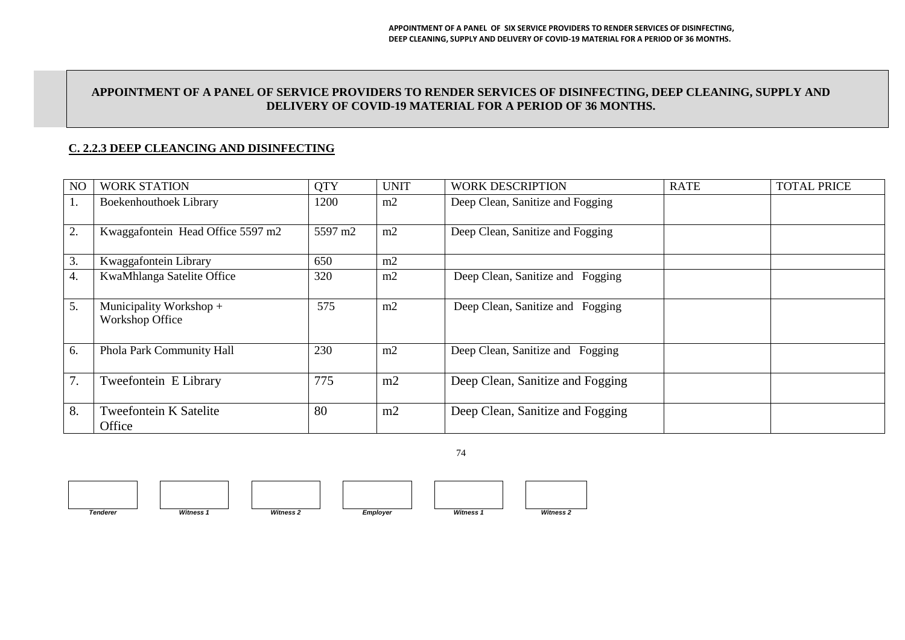#### **APPOINTMENT OF A PANEL OF SERVICE PROVIDERS TO RENDER SERVICES OF DISINFECTING, DEEP CLEANING, SUPPLY AND DELIVERY OF COVID-19 MATERIAL FOR A PERIOD OF 36 MONTHS.**

### **C. 2.2.3 DEEP CLEANCING AND DISINFECTING**

| N <sub>O</sub> | <b>WORK STATION</b>                        | <b>QTY</b> | <b>UNIT</b> | <b>WORK DESCRIPTION</b>          | <b>RATE</b> | <b>TOTAL PRICE</b> |
|----------------|--------------------------------------------|------------|-------------|----------------------------------|-------------|--------------------|
| 1.             | <b>Boekenhouthoek Library</b>              | 1200       | m2          | Deep Clean, Sanitize and Fogging |             |                    |
| 2.             | Kwaggafontein Head Office 5597 m2          | 5597 m2    | m2          | Deep Clean, Sanitize and Fogging |             |                    |
| 3.             | Kwaggafontein Library                      | 650        | m2          |                                  |             |                    |
| 4.             | KwaMhlanga Satelite Office                 | 320        | m2          | Deep Clean, Sanitize and Fogging |             |                    |
| 5.             | Municipality Workshop +<br>Workshop Office | 575        | m2          | Deep Clean, Sanitize and Fogging |             |                    |
| 6.             | Phola Park Community Hall                  | 230        | m2          | Deep Clean, Sanitize and Fogging |             |                    |
| 7.             | Tweefontein E Library                      | 775        | m2          | Deep Clean, Sanitize and Fogging |             |                    |
| 8.             | <b>Tweefontein K Satelite</b><br>Office    | 80         | m2          | Deep Clean, Sanitize and Fogging |             |                    |